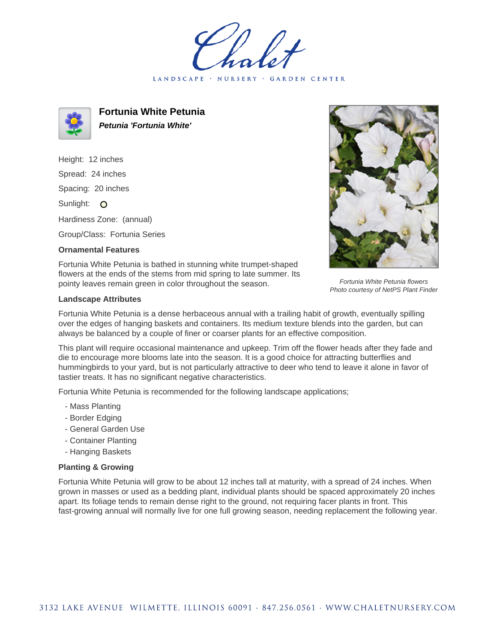LANDSCAPE · NURSERY GARDEN CENTER



**Fortunia White Petunia Petunia 'Fortunia White'**

Height: 12 inches Spread: 24 inches Spacing: 20 inches Sunlight: O Hardiness Zone: (annual)

Group/Class: Fortunia Series

## **Ornamental Features**

Fortunia White Petunia flowers

Fortunia White Petunia is bathed in stunning white trumpet-shaped flowers at the ends of the stems from mid spring to late summer. Its pointy leaves remain green in color throughout the season.

## **Landscape Attributes**

Photo courtesy of NetPS Plant Finder

Fortunia White Petunia is a dense herbaceous annual with a trailing habit of growth, eventually spilling over the edges of hanging baskets and containers. Its medium texture blends into the garden, but can always be balanced by a couple of finer or coarser plants for an effective composition.

This plant will require occasional maintenance and upkeep. Trim off the flower heads after they fade and die to encourage more blooms late into the season. It is a good choice for attracting butterflies and hummingbirds to your yard, but is not particularly attractive to deer who tend to leave it alone in favor of tastier treats. It has no significant negative characteristics.

Fortunia White Petunia is recommended for the following landscape applications;

- Mass Planting
- Border Edging
- General Garden Use
- Container Planting
- Hanging Baskets

## **Planting & Growing**

Fortunia White Petunia will grow to be about 12 inches tall at maturity, with a spread of 24 inches. When grown in masses or used as a bedding plant, individual plants should be spaced approximately 20 inches apart. Its foliage tends to remain dense right to the ground, not requiring facer plants in front. This fast-growing annual will normally live for one full growing season, needing replacement the following year.